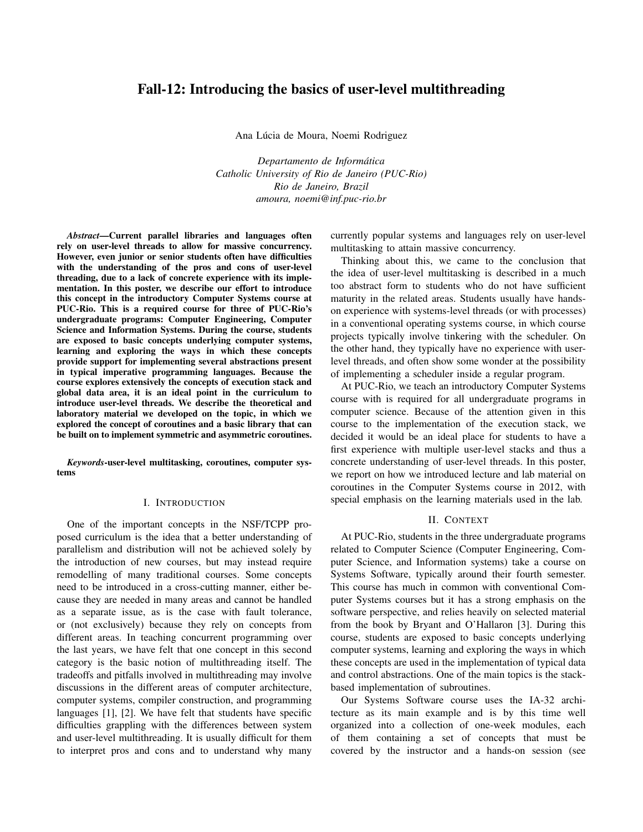# Fall-12: Introducing the basics of user-level multithreading

Ana Lúcia de Moura, Noemi Rodriguez

*Departamento de Informatica ´ Catholic University of Rio de Janeiro (PUC-Rio) Rio de Janeiro, Brazil amoura, noemi@inf.puc-rio.br*

*Abstract*—Current parallel libraries and languages often rely on user-level threads to allow for massive concurrency. However, even junior or senior students often have difficulties with the understanding of the pros and cons of user-level threading, due to a lack of concrete experience with its implementation. In this poster, we describe our effort to introduce this concept in the introductory Computer Systems course at PUC-Rio. This is a required course for three of PUC-Rio's undergraduate programs: Computer Engineering, Computer Science and Information Systems. During the course, students are exposed to basic concepts underlying computer systems, learning and exploring the ways in which these concepts provide support for implementing several abstractions present in typical imperative programming languages. Because the course explores extensively the concepts of execution stack and global data area, it is an ideal point in the curriculum to introduce user-level threads. We describe the theoretical and laboratory material we developed on the topic, in which we explored the concept of coroutines and a basic library that can be built on to implement symmetric and asymmetric coroutines.

*Keywords*-user-level multitasking, coroutines, computer systems

#### I. INTRODUCTION

One of the important concepts in the NSF/TCPP proposed curriculum is the idea that a better understanding of parallelism and distribution will not be achieved solely by the introduction of new courses, but may instead require remodelling of many traditional courses. Some concepts need to be introduced in a cross-cutting manner, either because they are needed in many areas and cannot be handled as a separate issue, as is the case with fault tolerance, or (not exclusively) because they rely on concepts from different areas. In teaching concurrent programming over the last years, we have felt that one concept in this second category is the basic notion of multithreading itself. The tradeoffs and pitfalls involved in multithreading may involve discussions in the different areas of computer architecture, computer systems, compiler construction, and programming languages [1], [2]. We have felt that students have specific difficulties grappling with the differences between system and user-level multithreading. It is usually difficult for them to interpret pros and cons and to understand why many

currently popular systems and languages rely on user-level multitasking to attain massive concurrency.

Thinking about this, we came to the conclusion that the idea of user-level multitasking is described in a much too abstract form to students who do not have sufficient maturity in the related areas. Students usually have handson experience with systems-level threads (or with processes) in a conventional operating systems course, in which course projects typically involve tinkering with the scheduler. On the other hand, they typically have no experience with userlevel threads, and often show some wonder at the possibility of implementing a scheduler inside a regular program.

At PUC-Rio, we teach an introductory Computer Systems course with is required for all undergraduate programs in computer science. Because of the attention given in this course to the implementation of the execution stack, we decided it would be an ideal place for students to have a first experience with multiple user-level stacks and thus a concrete understanding of user-level threads. In this poster, we report on how we introduced lecture and lab material on coroutines in the Computer Systems course in 2012, with special emphasis on the learning materials used in the lab.

### II. CONTEXT

At PUC-Rio, students in the three undergraduate programs related to Computer Science (Computer Engineering, Computer Science, and Information systems) take a course on Systems Software, typically around their fourth semester. This course has much in common with conventional Computer Systems courses but it has a strong emphasis on the software perspective, and relies heavily on selected material from the book by Bryant and O'Hallaron [3]. During this course, students are exposed to basic concepts underlying computer systems, learning and exploring the ways in which these concepts are used in the implementation of typical data and control abstractions. One of the main topics is the stackbased implementation of subroutines.

Our Systems Software course uses the IA-32 architecture as its main example and is by this time well organized into a collection of one-week modules, each of them containing a set of concepts that must be covered by the instructor and a hands-on session (see